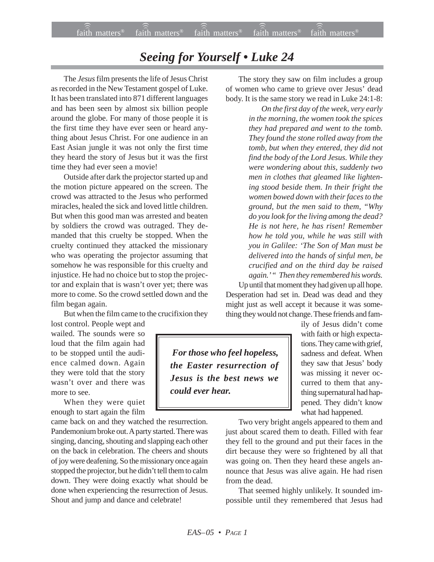## *Seeing for Yourself • Luke 24*

The *Jesus* film presents the life of Jesus Christ as recorded in the New Testament gospel of Luke. It has been translated into 871 different languages and has been seen by almost six billion people around the globe. For many of those people it is the first time they have ever seen or heard anything about Jesus Christ. For one audience in an East Asian jungle it was not only the first time they heard the story of Jesus but it was the first time they had ever seen a movie!

Outside after dark the projector started up and the motion picture appeared on the screen. The crowd was attracted to the Jesus who performed miracles, healed the sick and loved little children. But when this good man was arrested and beaten by soldiers the crowd was outraged. They demanded that this cruelty be stopped. When the cruelty continued they attacked the missionary who was operating the projector assuming that somehow he was responsible for this cruelty and injustice. He had no choice but to stop the projector and explain that is wasn't over yet; there was more to come. So the crowd settled down and the film began again.

But when the film came to the crucifixion they

lost control. People wept and wailed. The sounds were so loud that the film again had to be stopped until the audience calmed down. Again they were told that the story wasn't over and there was more to see.

When they were quiet enough to start again the film

came back on and they watched the resurrection. Pandemonium broke out. A party started. There was singing, dancing, shouting and slapping each other on the back in celebration. The cheers and shouts of joy were deafening. So the missionary once again stopped the projector, but he didn't tell them to calm down. They were doing exactly what should be done when experiencing the resurrection of Jesus. Shout and jump and dance and celebrate!

The story they saw on film includes a group of women who came to grieve over Jesus' dead body. It is the same story we read in Luke 24:1-8:

*On the first day of the week, very early in the morning, the women took the spices they had prepared and went to the tomb. They found the stone rolled away from the tomb, but when they entered, they did not find the body of the Lord Jesus. While they were wondering about this, suddenly two men in clothes that gleamed like lightening stood beside them. In their fright the women bowed down with their faces to the ground, but the men said to them, "Why do you look for the living among the dead? He is not here, he has risen! Remember how he told you, while he was still with you in Galilee: 'The Son of Man must be delivered into the hands of sinful men, be crucified and on the third day be raised again.' " Then they remembered his words.* Up until that moment they had given up all hope.

Desperation had set in. Dead was dead and they might just as well accept it because it was something they would not change. These friends and fam-

 *For those who feel hopeless, the Easter resurrection of Jesus is the best news we could ever hear.*

ily of Jesus didn't come with faith or high expectations. They came with grief, sadness and defeat. When they saw that Jesus' body was missing it never occurred to them that anything supernatural had happened. They didn't know what had happened.

Two very bright angels appeared to them and just about scared them to death. Filled with fear they fell to the ground and put their faces in the dirt because they were so frightened by all that was going on. Then they heard these angels announce that Jesus was alive again. He had risen from the dead.

That seemed highly unlikely. It sounded impossible until they remembered that Jesus had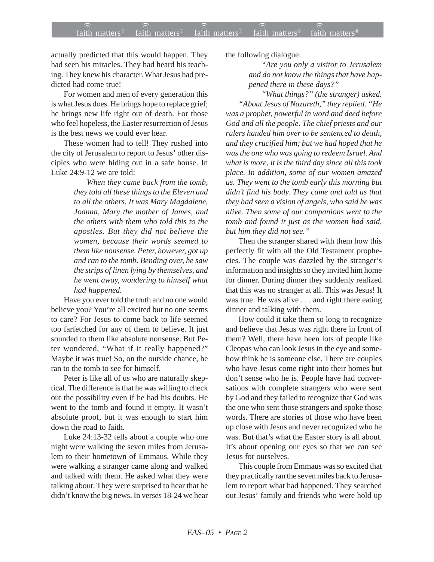actually predicted that this would happen. They had seen his miracles. They had heard his teaching. They knew his character. What Jesus had predicted had come true!

For women and men of every generation this is what Jesus does. He brings hope to replace grief; he brings new life right out of death. For those who feel hopeless, the Easter resurrection of Jesus is the best news we could ever hear.

These women had to tell! They rushed into the city of Jerusalem to report to Jesus' other disciples who were hiding out in a safe house. In Luke 24:9-12 we are told:

> *When they came back from the tomb, they told all these things to the Eleven and to all the others. It was Mary Magdalene, Joanna, Mary the mother of James, and the others with them who told this to the apostles. But they did not believe the women, because their words seemed to them like nonsense. Peter, however, got up and ran to the tomb. Bending over, he saw the strips of linen lying by themselves, and he went away, wondering to himself what had happened.*

Have you ever told the truth and no one would believe you? You're all excited but no one seems to care? For Jesus to come back to life seemed too farfetched for any of them to believe. It just sounded to them like absolute nonsense. But Peter wondered, "What if it really happened?" Maybe it was true! So, on the outside chance, he ran to the tomb to see for himself.

Peter is like all of us who are naturally skeptical. The difference is that he was willing to check out the possibility even if he had his doubts. He went to the tomb and found it empty. It wasn't absolute proof, but it was enough to start him down the road to faith.

Luke 24:13-32 tells about a couple who one night were walking the seven miles from Jerusalem to their hometown of Emmaus. While they were walking a stranger came along and walked and talked with them. He asked what they were talking about. They were surprised to hear that he didn't know the big news. In verses 18-24 we hear the following dialogue:

*"Are you only a visitor to Jerusalem and do not know the things that have happened there in these days?"*

*"What things?" (the stranger) asked. "About Jesus of Nazareth," they replied. "He was a prophet, powerful in word and deed before God and all the people. The chief priests and our rulers handed him over to be sentenced to death, and they crucified him; but we had hoped that he was the one who was going to redeem Israel. And what is more, it is the third day since all this took place. In addition, some of our women amazed us. They went to the tomb early this morning but didn't find his body. They came and told us that they had seen a vision of angels, who said he was alive. Then some of our companions went to the tomb and found it just as the women had said, but him they did not see."*

Then the stranger shared with them how this perfectly fit with all the Old Testament prophecies. The couple was dazzled by the stranger's information and insights so they invited him home for dinner. During dinner they suddenly realized that this was no stranger at all. This was Jesus! It was true. He was alive . . . and right there eating dinner and talking with them.

How could it take them so long to recognize and believe that Jesus was right there in front of them? Well, there have been lots of people like Cleopas who can look Jesus in the eye and somehow think he is someone else. There are couples who have Jesus come right into their homes but don't sense who he is. People have had conversations with complete strangers who were sent by God and they failed to recognize that God was the one who sent those strangers and spoke those words. There are stories of those who have been up close with Jesus and never recognized who he was. But that's what the Easter story is all about. It's about opening our eyes so that we can see Jesus for ourselves.

This couple from Emmaus was so excited that they practically ran the seven miles back to Jerusalem to report what had happened. They searched out Jesus' family and friends who were hold up